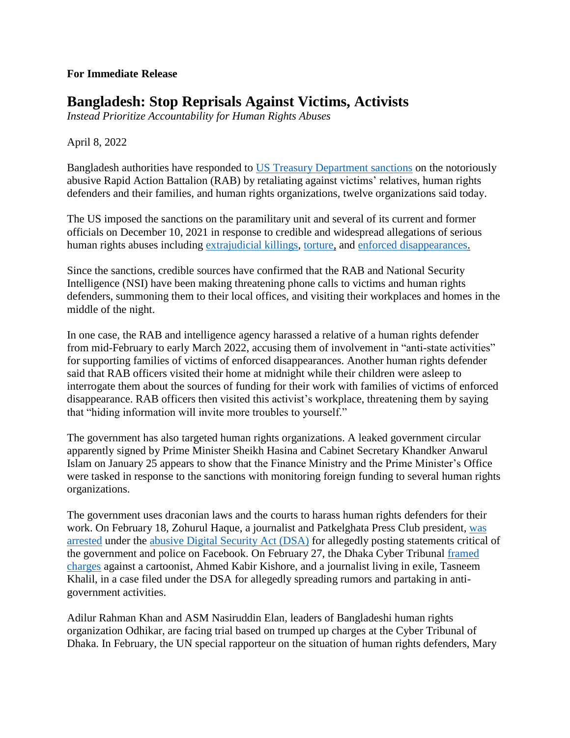## **For Immediate Release**

## **Bangladesh: Stop Reprisals Against Victims, Activists**

*Instead Prioritize Accountability for Human Rights Abuses*

April 8, 2022

Bangladesh authorities have responded to [US Treasury Department sanctions](https://home.treasury.gov/news/press-releases/jy0526) on the notoriously abusive Rapid Action Battalion (RAB) by retaliating against victims' relatives, human rights defenders and their families, and human rights organizations, twelve organizations said today.

The US imposed the sanctions on the paramilitary unit and several of its current and former officials on December 10, 2021 in response to credible and widespread allegations of serious human rights abuses including [extrajudicial killings,](https://www.hrw.org/report/2011/05/10/crossfire/continued-human-rights-abuses-bangladeshs-rapid-action-battalion) [torture,](https://www.vice.com/en/article/wxqkv9/torture-enforced-disappearance-bangladesh-rapid-action-battalion) and [enforced disappearances.](https://www.hrw.org/news/2021/08/16/bangladesh-86-victims-enforced-disappearance-still-missing)

Since the sanctions, credible sources have confirmed that the RAB and National Security Intelligence (NSI) have been making threatening phone calls to victims and human rights defenders, summoning them to their local offices, and visiting their workplaces and homes in the middle of the night.

In one case, the RAB and intelligence agency harassed a relative of a human rights defender from mid-February to early March 2022, accusing them of involvement in "anti-state activities" for supporting families of victims of enforced disappearances. Another human rights defender said that RAB officers visited their home at midnight while their children were asleep to interrogate them about the sources of funding for their work with families of victims of enforced disappearance. RAB officers then visited this activist's workplace, threatening them by saying that "hiding information will invite more troubles to yourself."

The government has also targeted human rights organizations. A leaked government circular apparently signed by Prime Minister Sheikh Hasina and Cabinet Secretary Khandker Anwarul Islam on January 25 appears to show that the Finance Ministry and the Prime Minister's Office were tasked in response to the sanctions with monitoring foreign funding to several human rights organizations.

The government uses draconian laws and the courts to harass human rights defenders for their work. On February 18, Zohurul Haque, a journalist and Patkelghata Press Club president, [was](https://www.newagebd.net/article/163101/journalist-arrested-in-dsa-case-in-satkhira)  [arrested](https://www.newagebd.net/article/163101/journalist-arrested-in-dsa-case-in-satkhira) under the [abusive Digital Security Act \(DSA\)](https://www.hrw.org/news/2020/07/01/bangladesh-repeal-abusive-law-used-crackdown-critics) for allegedly posting statements critical of the government and police on Facebook. On February 27, the Dhaka Cyber Tribunal [framed](https://www.thedailystar.net/news/bangladesh/crime-justice/news/dsa-case-kishore-six-others-indicted-2972001) [charges](https://www.thedailystar.net/news/bangladesh/crime-justice/news/dsa-case-kishore-six-others-indicted-2972001) against a cartoonist, Ahmed Kabir Kishore, and a journalist living in exile, Tasneem Khalil, in a case filed under the DSA for allegedly spreading rumors and partaking in antigovernment activities.

Adilur Rahman Khan and ASM Nasiruddin Elan, leaders of Bangladeshi human rights organization Odhikar, are facing trial based on trumped up charges at the Cyber Tribunal of Dhaka. In February, the UN special rapporteur on the situation of human rights defenders, Mary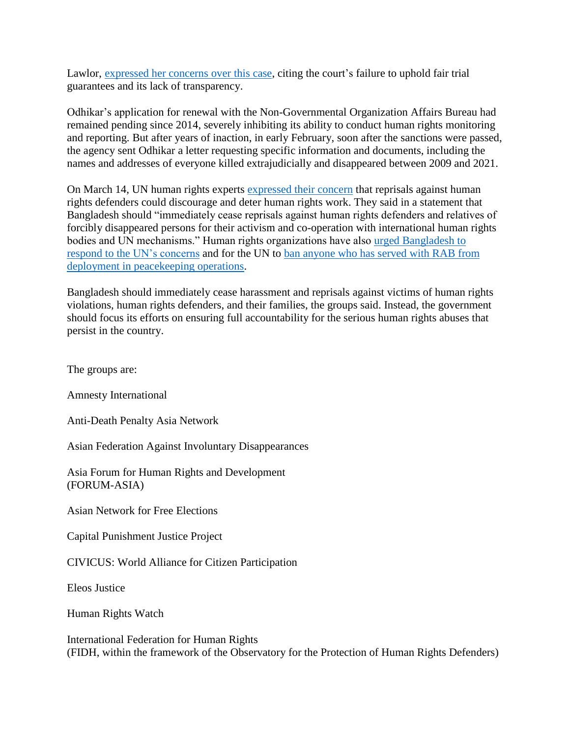Lawlor, [expressed her concerns over](https://srdefenders.org/bangladesh-judicial-harassment-of-rahman-khan-and-mr-nasiruddin-elan/) this case, citing the court's failure to uphold fair trial guarantees and its lack of transparency.

Odhikar's application for renewal with the Non-Governmental Organization Affairs Bureau had remained pending since 2014, severely inhibiting its ability to conduct human rights monitoring and reporting. But after years of inaction, in early February, soon after the sanctions were passed, the agency sent Odhikar a letter requesting specific information and documents, including the names and addresses of everyone killed extrajudicially and disappeared between 2009 and 2021.

On March 14, UN human rights experts [expressed their concern](https://www.ohchr.org/en/press-releases/2022/03/un-experts-urge-bangladesh-end-reprisals-against-human-rights-defenders-and?LangID=E&NewsID=28281) that reprisals against human rights defenders could discourage and deter human rights work. They said in a statement that Bangladesh should "immediately cease reprisals against human rights defenders and relatives of forcibly disappeared persons for their activism and co-operation with international human rights bodies and UN mechanisms." Human rights organizations have also [urged Bangladesh to](https://www.hrw.org/news/2022/03/17/bangladesh-stop-flouting-un-rights-concerns)  respond to the [UN's concerns](https://www.hrw.org/news/2022/03/17/bangladesh-stop-flouting-un-rights-concerns) and for the UN to [ban anyone who has served with RAB from](https://rfkhumanrights.org/press/un-ban-abusive-bangladesh-unit-from-peacekeeping)  [deployment in peacekeeping operations.](https://rfkhumanrights.org/press/un-ban-abusive-bangladesh-unit-from-peacekeeping)

Bangladesh should immediately cease harassment and reprisals against victims of human rights violations, human rights defenders, and their families, the groups said. Instead, the government should focus its efforts on ensuring full accountability for the serious human rights abuses that persist in the country.

The groups are:

Amnesty International

Anti-Death Penalty Asia Network

Asian Federation Against Involuntary Disappearances

Asia Forum for Human Rights and Development (FORUM-ASIA)

Asian Network for Free Elections

Capital Punishment Justice Project

CIVICUS: World Alliance for Citizen Participation

Eleos Justice

Human Rights Watch

International Federation for Human Rights (FIDH, within the framework of the Observatory for the Protection of Human Rights Defenders)